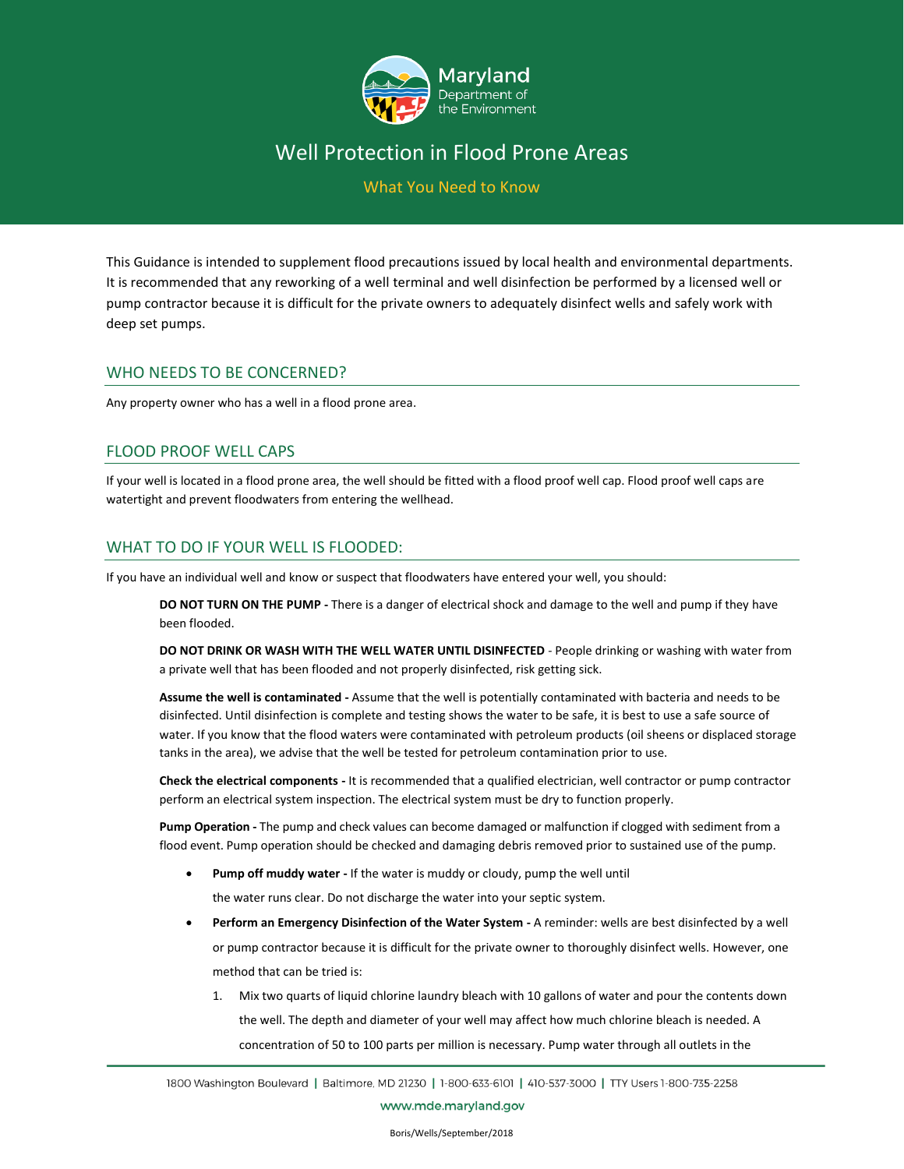

## Well Protection in Flood Prone Areas

What You Need to Know

This Guidance is intended to supplement flood precautions issued by local health and environmental departments. It is recommended that any reworking of a well terminal and well disinfection be performed by a licensed well or pump contractor because it is difficult for the private owners to adequately disinfect wells and safely work with deep set pumps.

### WHO NEEDS TO BE CONCERNED?

Any property owner who has a well in a flood prone area.

### FLOOD PROOF WELL CAPS

If your well is located in a flood prone area, the well should be fitted with a flood proof well cap. Flood proof well caps are watertight and prevent floodwaters from entering the wellhead.

### WHAT TO DO IF YOUR WELL IS FLOODED:

If you have an individual well and know or suspect that floodwaters have entered your well, you should:

**DO NOT TURN ON THE PUMP -** There is a danger of electrical shock and damage to the well and pump if they have been flooded.

**DO NOT DRINK OR WASH WITH THE WELL WATER UNTIL DISINFECTED** - People drinking or washing with water from a private well that has been flooded and not properly disinfected, risk getting sick.

**Assume the well is contaminated -** Assume that the well is potentially contaminated with bacteria and needs to be disinfected. Until disinfection is complete and testing shows the water to be safe, it is best to use a safe source of water. If you know that the flood waters were contaminated with petroleum products (oil sheens or displaced storage tanks in the area), we advise that the well be tested for petroleum contamination prior to use.

**Check the electrical components -** It is recommended that a qualified electrician, well contractor or pump contractor perform an electrical system inspection. The electrical system must be dry to function properly.

**Pump Operation -** The pump and check values can become damaged or malfunction if clogged with sediment from a flood event. Pump operation should be checked and damaging debris removed prior to sustained use of the pump.

• **Pump off muddy water -** If the water is muddy or cloudy, pump the well until

the water runs clear. Do not discharge the water into your septic system.

- **Perform an Emergency Disinfection of the Water System -** A reminder: wells are best disinfected by a well or pump contractor because it is difficult for the private owner to thoroughly disinfect wells. However, one method that can be tried is:
	- Mix two quarts of liquid chlorine laundry bleach with 10 gallons of water and pour the contents down the well. The depth and diameter of your well may affect how much chlorine bleach is needed. A concentration of 50 to 100 parts per million is necessary. Pump water through all outlets in the

www.mde.maryland.gov